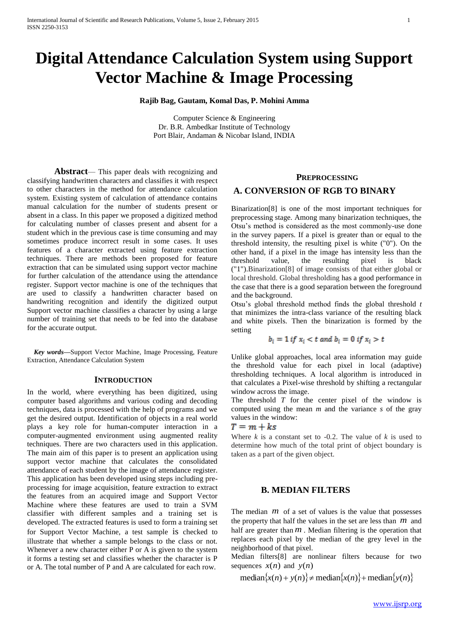# **Digital Attendance Calculation System using Support Vector Machine & Image Processing**

**Rajib Bag, Gautam, Komal Das, P. Mohini Amma**

Computer Science & Engineering Dr. B.R. Ambedkar Institute of Technology Port Blair, Andaman & Nicobar Island, INDIA

**Abstract**— This paper deals with recognizing and classifying handwritten characters and classifies it with respect to other characters in the method for attendance calculation system. Existing system of calculation of attendance contains manual calculation for the number of students present or absent in a class. In this paper we proposed a digitized method for calculating number of classes present and absent for a student which in the previous case is time consuming and may sometimes produce incorrect result in some cases. It uses features of a character extracted using feature extraction techniques. There are methods been proposed for feature extraction that can be simulated using support vector machine for further calculation of the attendance using the attendance register. Support vector machine is one of the techniques that are used to classify a handwritten character based on handwriting recognition and identify the digitized output Support vector machine classifies a character by using a large number of training set that needs to be fed into the database for the accurate output.

*Key words***—**Support Vector Machine, Image Processing, Feature Extraction, Attendance Calculation System

#### **INTRODUCTION**

In the world, where everything has been digitized, using computer based algorithms and various coding and decoding techniques, data is processed with the help of programs and we get the desired output. Identification of objects in a real world plays a key role for human-computer interaction in a computer-augmented environment using augmented reality techniques. There are two characters used in this application. The main aim of this paper is to present an application using support vector machine that calculates the consolidated attendance of each student by the image of attendance register. This application has been developed using steps including preprocessing for image acquisition, feature extraction to extract the features from an acquired image and Support Vector Machine where these features are used to train a SVM classifier with different samples and a training set is developed. The extracted features is used to form a training set for Support Vector Machine, a test sample is checked to illustrate that whether a sample belongs to the class or not. Whenever a new character either P or A is given to the system it forms a testing set and classifies whether the character is P or A. The total number of P and A are calculated for each row.

#### **PREPROCESSING**

## **A. CONVERSION OF RGB TO BINARY**

Binarization[8] is one of the most important techniques for preprocessing stage. Among many binarization techniques, the Otsu's method is considered as the most commonly-use done in the survey papers. If a pixel is greater than or equal to the threshold intensity, the resulting pixel is white ("0"). On the other hand, if a pixel in the image has intensity less than the threshold value, the resulting pixel is black ("1").Binarization[8] of image consists of that either global or local threshold. Global thresholding has a good performance in the case that there is a good separation between the foreground and the background.

Otsu's global threshold method finds the global threshold *t*  that minimizes the intra-class variance of the resulting black and white pixels. Then the binarization is formed by the setting

$$
b_i = 1 \text{ if } x_i < t \text{ and } b_i = 0 \text{ if } x_i > t
$$

Unlike global approaches, local area information may guide the threshold value for each pixel in local (adaptive) thresholding techniques. A local algorithm is introduced in that calculates a Pixel-wise threshold by shifting a rectangular window across the image.

The threshold *T* for the center pixel of the window is computed using the mean *m* and the variance *s* of the gray values in the window:

$$
T=m+ks
$$

Where  $k$  is a constant set to  $-0.2$ . The value of  $k$  is used to determine how much of the total print of object boundary is taken as a part of the given object.

## **B. MEDIAN FILTERS**

The median  $m$  of a set of values is the value that possesses the property that half the values in the set are less than  $m$  and half are greater than  $m$ . Median filtering is the operation that replaces each pixel by the median of the grey level in the neighborhood of that pixel.

Median filters[8] are nonlinear filters because for two sequences  $x(n)$  and  $y(n)$ 

 $\text{median}\{x(n) + y(n)\}$   $\neq \text{median}\{x(n)\} + \text{median}\{y(n)\}$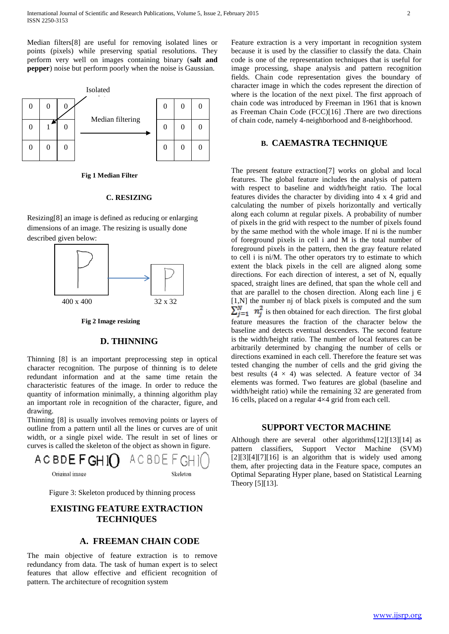Median filters[8] are useful for removing isolated lines or points (pixels) while preserving spatial resolutions. They perform very well on images containing binary (**salt and pepper**) noise but perform poorly when the noise is Gaussian.



**Fig 1 Median Filter**

#### **C. RESIZING**

Resizing[8] an image is defined as reducing or enlarging dimensions of an image. The resizing is usually done described given below:



**Fig 2 Image resizing**

# **D. THINNING**

Thinning [8] is an important preprocessing step in optical character recognition. The purpose of thinning is to delete redundant information and at the same time retain the characteristic features of the image. In order to reduce the quantity of information minimally, a thinning algorithm play an important role in recognition of the character, figure, and drawing.

Thinning [8] is usually involves removing points or layers of outline from a pattern until all the lines or curves are of unit width, or a single pixel wide. The result in set of lines or curves is called the skeleton of the object as shown in figure.



Figure 3: Skeleton produced by thinning process

# **EXISTING FEATURE EXTRACTION TECHNIQUES**

### **A. FREEMAN CHAIN CODE**

The main objective of feature extraction is to remove redundancy from data. The task of human expert is to select features that allow effective and efficient recognition of pattern. The architecture of recognition system

Feature extraction is a very important in recognition system because it is used by the classifier to classify the data. Chain code is one of the representation techniques that is useful for image processing, shape analysis and pattern recognition fields. Chain code representation gives the boundary of character image in which the codes represent the direction of where is the location of the next pixel. The first approach of chain code was introduced by Freeman in 1961 that is known as Freeman Chain Code (FCC)[16] .There are two directions of chain code, namely 4-neighborhood and 8-neighborhood.

#### **B. CAEMASTRA TECHNIQUE**

The present feature extraction[7] works on global and local features. The global feature includes the analysis of pattern with respect to baseline and width/height ratio. The local features divides the character by dividing into 4 x 4 grid and calculating the number of pixels horizontally and vertically along each column at regular pixels. A probability of number of pixels in the grid with respect to the number of pixels found by the same method with the whole image. If ni is the number of foreground pixels in cell i and M is the total number of foreground pixels in the pattern, then the gray feature related to cell i is ni/M. The other operators try to estimate to which extent the black pixels in the cell are aligned along some directions. For each direction of interest, a set of N, equally spaced, straight lines are defined, that span the whole cell and that are parallel to the chosen direction. Along each line  $j \in$ [1,N] the number nj of black pixels is computed and the sum  $\sum_{i=1}^{N} n_i^2$  is then obtained for each direction. The first global feature measures the fraction of the character below the baseline and detects eventual descenders. The second feature is the width/height ratio. The number of local features can be arbitrarily determined by changing the number of cells or directions examined in each cell. Therefore the feature set was tested changing the number of cells and the grid giving the best results  $(4 \times 4)$  was selected. A feature vector of 34 elements was formed. Two features are global (baseline and width/height ratio) while the remaining 32 are generated from 16 cells, placed on a regular 4×4 grid from each cell.

#### **SUPPORT VECTOR MACHINE**

Although there are several other algorithms[12][13][14] as pattern classifiers, Support Vector Machine (SVM)  $[2][3][4][7][16]$  is an algorithm that is widely used among them, after projecting data in the Feature space, computes an Optimal Separating Hyper plane, based on Statistical Learning Theory [5][13].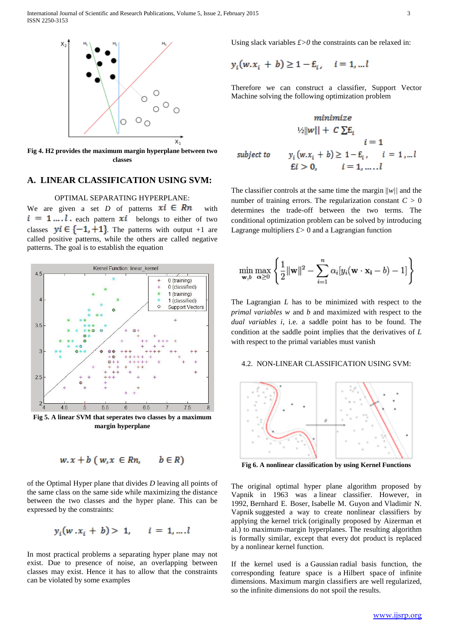

**Fig 4. H2 provides the maximum margin hyperplane between two classes**

# **A. LINEAR CLASSIFICATION USING SVM:**

#### OPTIMAL SEPARATING HYPERPLANE:

We are given a set *D* of patterns  $xi \in Rn$  with  $i = 1...l$  each pattern  $xi$  belongs to either of two classes  $yi \in \{-1, +1\}$ . The patterns with output +1 are called positive patterns, while the others are called negative patterns. The goal is to establish the equation



**Fig 5. A linear SVM that seperates two classes by a maximum margin hyperplane**

$$
w.x + b (w, x \in Rn, \quad b \in R)
$$

of the Optimal Hyper plane that divides *D* leaving all points of the same class on the same side while maximizing the distance between the two classes and the hyper plane. This can be expressed by the constraints:

$$
y_i(w \cdot x_i + b) > 1, \quad i = 1, \dots, l
$$

In most practical problems a separating hyper plane may not exist. Due to presence of noise, an overlapping between classes may exist. Hence it has to allow that the constraints can be violated by some examples

Using slack variables  $f > 0$  the constraints can be relaxed in:

$$
y_i(w.x_i + b) \ge 1 - E_i, \quad i = 1, ... l
$$

 $\mathbf{c}$ 

T

Therefore we can construct a classifier, Support Vector Machine solving the following optimization problem

$$
\begin{aligned}\n & \text{minimize} \\
& \quad V_2||w|| + C \sum E_i \\
& i = 1 \\
& \text{subject to} \\
& y_i(w.x_i + b) \ge 1 - E_i, \quad i = 1, \dots, l \\
& \text{E}i > 0, \quad i = 1, \dots, l\n \end{aligned}
$$

The classifier controls at the same time the margin ||*w||* and the number of training errors. The regularization constant  $C > 0$ determines the trade-off between the two terms. The conditional optimization problem can be solved by introducing Lagrange multipliers *£>* 0 and a Lagrangian function

$$
\min_{\mathbf{w},b} \max_{\alpha \ge 0} \left\{ \frac{1}{2} ||\mathbf{w}||^2 - \sum_{i=1}^n \alpha_i [y_i(\mathbf{w} \cdot \mathbf{x_i} - b) - 1] \right\}
$$

The Lagrangian *L* has to be minimized with respect to the *primal variables w* and *b* and maximized with respect to the *dual variables i*, i.e. a saddle point has to be found. The condition at the saddle point implies that the derivatives of *L*  with respect to the primal variables must vanish

#### 4.2. NON-LINEAR CLASSIFICATION USING SVM:



**Fig 6. A nonlinear classification by using Kernel Functions**

The original optimal hyper plane algorithm proposed by Vapnik in 1963 was a linear classifier. However, in 1992, Bernhard E. Boser, Isabelle M. Guyon and Vladimir N. Vapnik suggested a way to create nonlinear classifiers by applying the kernel trick (originally proposed by Aizerman et al.) to maximum-margin hyperplanes. The resulting algorithm is formally similar, except that every dot product is replaced by a nonlinear kernel function.

If the kernel used is a Gaussian radial basis function, the corresponding feature space is a Hilbert space of infinite dimensions. Maximum margin classifiers are well regularized, so the infinite dimensions do not spoil the results.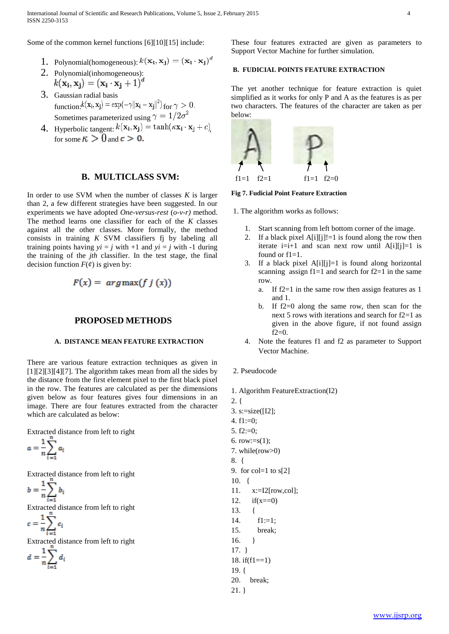Some of the common kernel functions [6][10][15] include:

- 1. Polynomial(homogeneous):  $k(\mathbf{x_i}, \mathbf{x_j}) = (\mathbf{x_i} \cdot \mathbf{x_j})^d$
- 2. Polynomial(inhomogeneous):  $k(\mathbf{x_i}, \mathbf{x_i}) = (\mathbf{x_i} \cdot \mathbf{x_i} + 1)^d$
- 3. Gaussian radial basis function: $k(\mathbf{x_i}, \mathbf{x_j}) = \exp(-\gamma ||\mathbf{x_i} - \mathbf{x_j}||^2)$  for  $\gamma > 0$ . Sometimes parameterized using  $\gamma = 1/2\sigma^2$
- 4. Hyperbolic tangent:  $k(\mathbf{x_i}, \mathbf{x_j}) = \tanh(\kappa \mathbf{x_i} \cdot \mathbf{x_j} + c)$ for some  $\kappa > 0$  and  $c > 0$ .

#### **B. MULTICLASS SVM:**

In order to use SVM when the number of classes  $K$  is larger than 2, a few different strategies have been suggested. In our experiments we have adopted *One-versus-rest* (*o-v-r)* method. The method learns one classifier for each of the *K* classes against all the other classes. More formally, the method consists in training *K* SVM classifiers fj by labeling all training points having  $yi = j$  with  $+1$  and  $yi = j$  with  $-1$  during the training of the *jth* classifier. In the test stage, the final decision function  $F(\phi)$  is given by:

$$
F(x) = arg \max(f\, j\, (x))
$$

#### **PROPOSED METHODS**

#### **A. DISTANCE MEAN FEATURE EXTRACTION**

There are various feature extraction techniques as given in  $[1][2][3][4][7]$ . The algorithm takes mean from all the sides by the distance from the first element pixel to the first black pixel in the row. The features are calculated as per the dimensions given below as four features gives four dimensions in an image. There are four features extracted from the character which are calculated as below:

Extracted distance from left to right

$$
a=\frac{1}{n}\sum_{i=1}^n a_i
$$

Extracted distance from left to right

$$
b=\frac{1}{n}\sum_{i=1}^n b_i
$$

Extracted distance from left to right

$$
c=\frac{1}{n}\sum_{i=1}^n c_i
$$

Extracted distance from left to right

$$
d = \frac{1}{n} \sum_{i=1}^{n} d_i
$$

These four features extracted are given as parameters to Support Vector Machine for further simulation.

# **B. FUDICIAL POINTS FEATURE EXTRACTION**

The yet another technique for feature extraction is quiet simplified as it works for only P and A as the features is as per two characters. The features of the character are taken as per below:



**Fig 7. Fudicial Point Feature Extraction**

1. The algorithm works as follows:

- 1. Start scanning from left bottom corner of the image.
- 2. If a black pixel  $A[i][j]!=1$  is found along the row then iterate  $i=i+1$  and scan next row until A[i][j]=1 is found or  $f1=1$ .
- 3. If a black pixel A[i][j]=1 is found along horizontal scanning assign  $f1=1$  and search for  $f2=1$  in the same row.
	- a. If f2=1 in the same row then assign features as 1 and 1.
	- b. If f2=0 along the same row, then scan for the next 5 rows with iterations and search for f2=1 as given in the above figure, if not found assign f2=0.
- 4. Note the features f1 and f2 as parameter to Support Vector Machine.
- 2. Pseudocode
- 1. Algorithm FeatureExtraction(I2)
- 2. { 3. s:=size([I2]; 4. f1:=0; 5. f2:=0; 6. row:= $s(1)$ ; 7. while(row>0) 8. { 9. for col=1 to  $s[2]$ 10. { 11. x:=I2[row,col]; 12.  $if(x == 0)$ 13. {  $14.$   $f1:=1$ : 15. break; 16. } 17. } 18. if(f1==1) 19. { 20. break; 21. }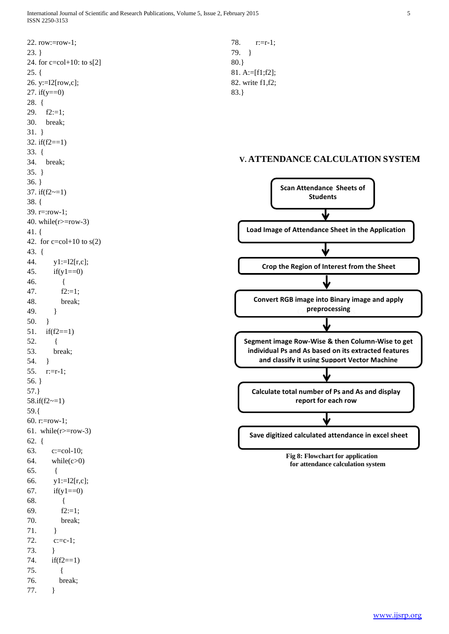22. row:=row-1; 23. } 24. for c=col+10: to s[2]  $25.$  { 26. y:=I2[row,c]; 27. if  $(y == 0)$ 28. { 29.  $f2:=1$ : 30. break; 31. } 32. if(f2==1) 33. { 34. break; 35. } 36. } 37. if( $f2 \sim = 1$ ) 38. { 39. r=:row-1; 40. while( $r$  =  $row-3$ ) 41. { 42. for  $c = col + 10$  to  $s(2)$ 43. { 44.  $y1:=I2[r,c];$ 45. if(y1==0) 46. { 47. f2:=1; 48. break; 49. } 50. } 51. if(f2==1) 52. { 53. break; 54. } 55. r:=r-1; 56. } 57.} 58.if(f2~=1) 59.{ 60. r:=row-1; 61. while( $r$  =  $row-3$ ) 62. { 63. c:=col-10;  $64.$  while( $c>0$ ) 65. { 66. y1:=I2[r,c]; 67. if  $(y1 == 0)$ 68. { 69.  $f2:=1$ ; 70. break; 71. } 72. c:=c-1; 73. } 74. if(f2==1) 75. { 76. break; 77. }

78. r:=r-1; 79. } 80.} 81. A:=[f1;f2]; 82. write f1,f2; 83.}

## **V. ATTENDANCE CALCULATION SYSTEM**



 **for attendance calculation system**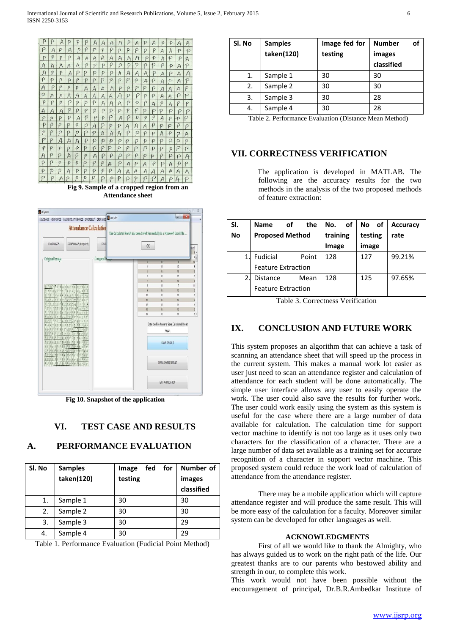

**Fig 9. Sample of a cropped region from an Attendance sheet**



**Fig 10. Snapshot of the application**

# **VI. TEST CASE AND RESULTS**

# **A. PERFORMANCE EVALUATION**

| Sl. No | <b>Samples</b><br>taken(120) | fed<br>for<br>Image<br>testing | Number of<br>images<br>classified |
|--------|------------------------------|--------------------------------|-----------------------------------|
| 1.     | Sample 1                     | 30                             | 30                                |
| 2.     | Sample 2                     | 30                             | 30                                |
| 3.     | Sample 3                     | 30                             | 29                                |
| 4.     | Sample 4                     | 30                             | 29                                |

Table 1. Performance Evaluation (Fudicial Point Method)

| <b>Samples</b><br>taken(120) | Image fed for<br>testing | of<br><b>Number</b><br>images<br>classified |
|------------------------------|--------------------------|---------------------------------------------|
| Sample 1                     | 30                       | 30                                          |
| Sample 2                     | 30                       | 30                                          |
| Sample 3                     | 30                       | 28                                          |
| Sample 4                     | 30                       | 28                                          |
|                              |                          |                                             |

Table 2. Performance Evaluation (Distance Mean Method)

# **VII. CORRECTNESS VERIFICATION**

 The application is developed in MATLAB. The following are the accuracy results for the two methods in the analysis of the two proposed methods of feature extraction:

| SI.            | the<br>οf<br><b>Name</b>  | of<br>No. | No of   | <b>Accuracy</b> |
|----------------|---------------------------|-----------|---------|-----------------|
| <b>No</b>      | <b>Proposed Method</b>    | training  | testing | rate            |
|                |                           | Image     | image   |                 |
| 1              | Fudicial<br>Point         | 128       | 127     | 99.21%          |
|                | <b>Feature Extraction</b> |           |         |                 |
| $\overline{2}$ | <b>Distance</b><br>Mean   | 128       | 125     | 97.65%          |
|                | <b>Feature Extraction</b> |           |         |                 |

Table 3. Correctness Verification

# **IX. CONCLUSION AND FUTURE WORK**

This system proposes an algorithm that can achieve a task of scanning an attendance sheet that will speed up the process in the current system. This makes a manual work lot easier as user just need to scan an attendance register and calculation of attendance for each student will be done automatically. The simple user interface allows any user to easily operate the work. The user could also save the results for further work. The user could work easily using the system as this system is useful for the case where there are a large number of data available for calculation. The calculation time for support vector machine to identify is not too large as it uses only two characters for the classification of a character. There are a large number of data set available as a training set for accurate recognition of a character in support vector machine. This proposed system could reduce the work load of calculation of attendance from the attendance register.

There may be a mobile application which will capture attendance register and will produce the same result. This will be more easy of the calculation for a faculty. Moreover similar system can be developed for other languages as well.

#### **ACKNOWLEDGMENTS**

First of all we would like to thank the Almighty, who has always guided us to work on the right path of the life. Our greatest thanks are to our parents who bestowed ability and strength in our, to complete this work.

This work would not have been possible without the encouragement of principal, Dr.B.R.Ambedkar Institute of